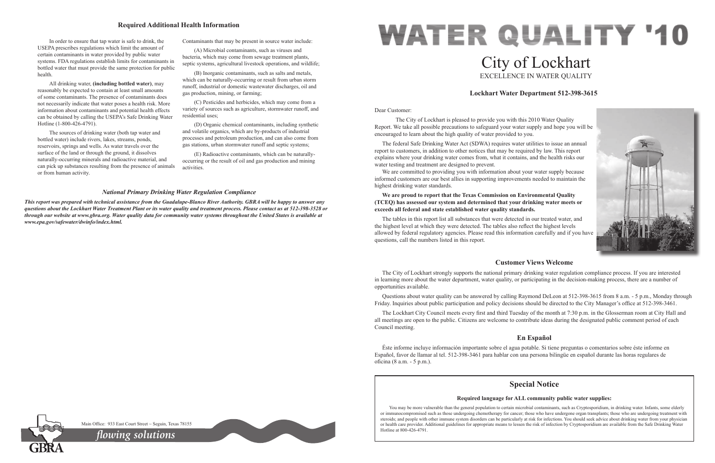Dear Customer:

 The City of Lockhart is pleased to provide you with this 2010 Water Quality Report. We take all possible precautions to safeguard your water supply and hope you will be encouraged to learn about the high quality of water provided to you.

We are committed to providing you with information about your water supply because informed customers are our best allies in supporting improvements needed to maintain the highest drinking water standards.

The federal Safe Drinking Water Act (SDWA) requires water utilities to issue an annual report to customers, in addition to other notices that may be required by law. This report explains where your drinking water comes from, what it contains, and the health risks our water testing and treatment are designed to prevent.

# **WATER QUALITY '10** City of Lockhart EXCELLENCE IN WATER QUALITY

# **We are proud to report that the Texas Commission on Environmental Quality (TCEQ) has assessed our system and determined that your drinking water meets or exceeds all federal and state established water quality standards.**

The tables in this report list all substances that were detected in our treated water, and the highest level at which they were detected. The tables also reflect the highest levels allowed by federal regulatory agencies. Please read this information carefully and if you have questions, call the numbers listed in this report.

# **Lockhart Water Department 512-398-3615**



# **Customer Views Welcome**

The City of Lockhart strongly supports the national primary drinking water regulation compliance process. If you are interested in learning more about the water department, water quality, or participating in the decision-making process, there are a number of opportunities available.

Questions about water quality can be answered by calling Raymond DeLeon at 512-398-3615 from 8 a.m. - 5 p.m., Monday through Friday. Inquiries about public participation and policy decisions should be directed to the City Manager's office at 512-398-3461.

The Lockhart City Council meets every first and third Tuesday of the month at 7:30 p.m. in the Glosserman room at City Hall and all meetings are open to the public. Citizens are welcome to contribute ideas during the designated public comment period of each Council meeting.

# **En Español**

Éste informe incluye información importante sobre el agua potable. Si tiene preguntas o comentarios sobre éste informe en Español, favor de llamar al tel. 512-398-3461 para hablar con una persona bilingüe en español durante las horas regulares de oficina (8 a.m. - 5 p.m.).

In order to ensure that tap water is safe to drink, the USEPA prescribes regulations which limit the amount of certain contaminants in water provided by public water systems. FDA regulations establish limits for contaminants in bottled water that must provide the same protection for public health.

> You may be more vulnerable than the general population to certain microbial contaminants, such as Cryptosporidium, in drinking water. Infants, some elderly or immunocompromised such as those undergoing chemotherapy for cancer; those who have undergone organ transplants; those who are undergoing treatment with steroids; and people with other immune system disorders can be particularly at risk for infections. You should seek advice about drinking water from your physician or health care provider. Additional guidelines for appropriate means to lessen the risk of infection by Cryptosporidium are available from the Safe Drinking Water

Main Office: 933 East Court Street ~ Seguin, Texas 78155

All drinking water, **(including bottled water)**, may reasonably be expected to contain at least small amounts of some contaminants. The presence of contaminants does not necessarily indicate that water poses a health risk. More information about contaminants and potential health effects can be obtained by calling the USEPA's Safe Drinking Water Hotline (1-800-426-4791).

The sources of drinking water (both tap water and bottled water) include rivers, lakes, streams, ponds, reservoirs, springs and wells. As water travels over the surface of the land or through the ground, it dissolves naturally-occurring minerals and radioactive material, and can pick up substances resulting from the presence of animals or from human activity.

Contaminants that may be present in source water include:

(A) Microbial contaminants, such as viruses and bacteria, which may come from sewage treatment plants, septic systems, agricultural livestock operations, and wildlife;

(B) Inorganic contaminants, such as salts and metals, which can be naturally-occurring or result from urban storm runoff, industrial or domestic wastewater discharges, oil and gas production, mining, or farming;

(C) Pesticides and herbicides, which may come from a variety of sources such as agriculture, stormwater runoff, and residential uses;

(D) Organic chemical contaminants, including synthetic and volatile organics, which are by-products of industrial processes and petroleum production, and can also come from gas stations, urban stormwater runoff and septic systems;

(E) Radioactive contaminants, which can be naturallyoccurring or the result of oil and gas production and mining activities.

# **Required Additional Health Information**

### *National Primary Drinking Water Regulation Compliance*

*This report was prepared with technical assistance from the Guadalupe-Blanco River Authority. GBRA will be happy to answer any questions about the Lockhart Water Treatment Plant or its water quality and treatment process. Please contact us at 512-398-3528 or through our website at www.gbra.org. Water quality data for community water systems throughout the United States is available at www.epa.gov/safewater/dwinfo/index.html.*

# **Special Notice**

# **Required language for ALL community public water supplies:**

Hotline at 800-426-4791. *flowing solutions*